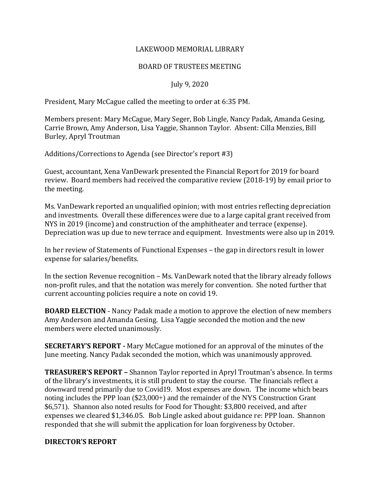#### LAKEWOOD MEMORIAL LIBRARY

## BOARD OF TRUSTEES MEETING

## July 9, 2020

President, Mary McCague called the meeting to order at 6:35 PM.

Members present: Mary McCague, Mary Seger, Bob Lingle, Nancy Padak, Amanda Gesing, Carrie Brown, Amy Anderson, Lisa Yaggie, Shannon Taylor. Absent: Cilla Menzies, Bill Burley, Apryl Troutman

Additions/Corrections to Agenda (see Director's report #3)

Guest, accountant, Xena VanDewark presented the Financial Report for 2019 for board review. Board members had received the comparative review (2018-19) by email prior to the meeting.

Ms. VanDewark reported an unqualified opinion; with most entries reflecting depreciation and investments. Overall these differences were due to a large capital grant received from NYS in 2019 (income) and construction of the amphitheater and terrace (expense). Depreciation was up due to new terrace and equipment. Investments were also up in 2019.

In her review of Statements of Functional Expenses – the gap in directors result in lower expense for salaries/benefits.

In the section Revenue recognition – Ms. VanDewark noted that the library already follows non-profit rules, and that the notation was merely for convention. She noted further that current accounting policies require a note on covid 19.

**BOARD ELECTION** - Nancy Padak made a motion to approve the election of new members Amy Anderson and Amanda Gesing. Lisa Yaggie seconded the motion and the new members were elected unanimously.

**SECRETARY'S REPORT -** Mary McCague motioned for an approval of the minutes of the June meeting. Nancy Padak seconded the motion, which was unanimously approved.

**TREASURER'S REPORT –** Shannon Taylor reported in Apryl Troutman's absence. In terms of the library's investments, it is still prudent to stay the course. The financials reflect a downward trend primarily due to Covid19. Most expenses are down. The income which bears noting includes the PPP loan (\$23,000+) and the remainder of the NYS Construction Grant \$6,571). Shannon also noted results for Food for Thought: \$3,800 received, and after expenses we cleared \$1,346.05. Bob Lingle asked about guidance re: PPP loan. Shannon responded that she will submit the application for loan forgiveness by October.

#### **DIRECTOR'S REPORT**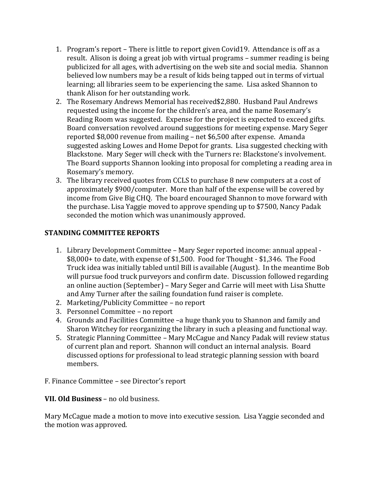- 1. Program's report There is little to report given Covid19. Attendance is off as a result. Alison is doing a great job with virtual programs – summer reading is being publicized for all ages, with advertising on the web site and social media. Shannon believed low numbers may be a result of kids being tapped out in terms of virtual learning; all libraries seem to be experiencing the same. Lisa asked Shannon to thank Alison for her outstanding work.
- 2. The Rosemary Andrews Memorial has received\$2,880. Husband Paul Andrews requested using the income for the children's area, and the name Rosemary's Reading Room was suggested. Expense for the project is expected to exceed gifts. Board conversation revolved around suggestions for meeting expense. Mary Seger reported \$8,000 revenue from mailing – net \$6,500 after expense. Amanda suggested asking Lowes and Home Depot for grants. Lisa suggested checking with Blackstone. Mary Seger will check with the Turners re: Blackstone's involvement. The Board supports Shannon looking into proposal for completing a reading area in Rosemary's memory.
- 3. The library received quotes from CCLS to purchase 8 new computers at a cost of approximately \$900/computer. More than half of the expense will be covered by income from Give Big CHQ. The board encouraged Shannon to move forward with the purchase. Lisa Yaggie moved to approve spending up to \$7500, Nancy Padak seconded the motion which was unanimously approved.

# **STANDING COMMITTEE REPORTS**

- 1. Library Development Committee Mary Seger reported income: annual appeal \$8,000+ to date, with expense of \$1,500. Food for Thought - \$1,346. The Food Truck idea was initially tabled until Bill is available (August). In the meantime Bob will pursue food truck purveyors and confirm date. Discussion followed regarding an online auction (September) – Mary Seger and Carrie will meet with Lisa Shutte and Amy Turner after the sailing foundation fund raiser is complete.
- 2. Marketing/Publicity Committee no report
- 3. Personnel Committee no report
- 4. Grounds and Facilities Committee –a huge thank you to Shannon and family and Sharon Witchey for reorganizing the library in such a pleasing and functional way.
- 5. Strategic Planning Committee Mary McCague and Nancy Padak will review status of current plan and report. Shannon will conduct an internal analysis. Board discussed options for professional to lead strategic planning session with board members.

F. Finance Committee – see Director's report

# **VII. Old Business** – no old business.

Mary McCague made a motion to move into executive session. Lisa Yaggie seconded and the motion was approved.